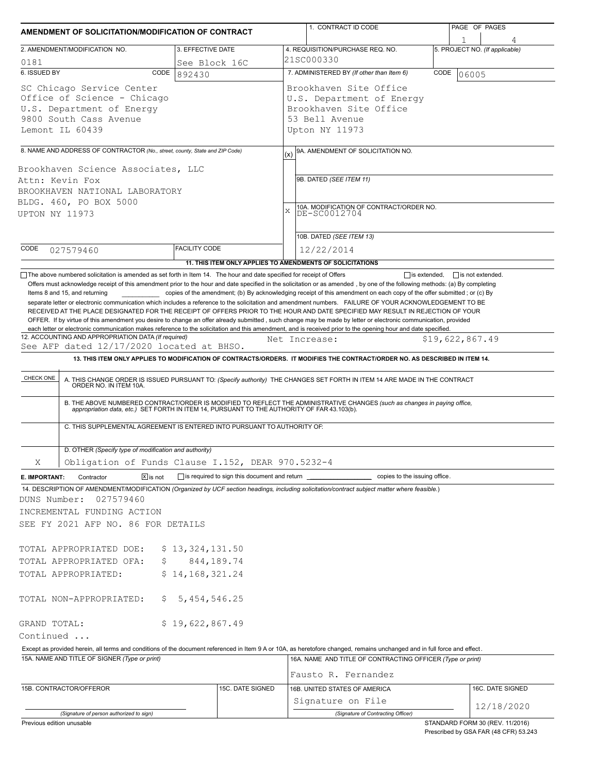|                                                                                                                                    | AMENDMENT OF SOLICITATION/MODIFICATION OF CONTRACT                                                                |                                                                                                                       |             | 1. CONTRACT ID CODE                                                                                                                                                                                                                                                                                                                                                                                                                                                                                                                                                                                                           |      | PAGE OF PAGES                   |  |  |  |  |
|------------------------------------------------------------------------------------------------------------------------------------|-------------------------------------------------------------------------------------------------------------------|-----------------------------------------------------------------------------------------------------------------------|-------------|-------------------------------------------------------------------------------------------------------------------------------------------------------------------------------------------------------------------------------------------------------------------------------------------------------------------------------------------------------------------------------------------------------------------------------------------------------------------------------------------------------------------------------------------------------------------------------------------------------------------------------|------|---------------------------------|--|--|--|--|
| 2. AMENDMENT/MODIFICATION NO.                                                                                                      |                                                                                                                   | 3. EFFECTIVE DATE                                                                                                     |             | 4. REQUISITION/PURCHASE REQ. NO.                                                                                                                                                                                                                                                                                                                                                                                                                                                                                                                                                                                              |      | 5. PROJECT NO. (If applicable)  |  |  |  |  |
| 0181                                                                                                                               |                                                                                                                   | See Block 16C                                                                                                         |             | 21SC000330                                                                                                                                                                                                                                                                                                                                                                                                                                                                                                                                                                                                                    |      |                                 |  |  |  |  |
| 6. ISSUED BY                                                                                                                       | CODE                                                                                                              | 892430                                                                                                                |             | 7. ADMINISTERED BY (If other than Item 6)                                                                                                                                                                                                                                                                                                                                                                                                                                                                                                                                                                                     | CODE | 06005                           |  |  |  |  |
| SC Chicago Service Center<br>Office of Science - Chicago<br>U.S. Department of Energy<br>9800 South Cass Avenue<br>Lemont IL 60439 |                                                                                                                   |                                                                                                                       |             | Brookhaven Site Office<br>U.S. Department of Energy<br>Brookhaven Site Office<br>53 Bell Avenue<br>Upton NY 11973                                                                                                                                                                                                                                                                                                                                                                                                                                                                                                             |      |                                 |  |  |  |  |
|                                                                                                                                    |                                                                                                                   |                                                                                                                       |             |                                                                                                                                                                                                                                                                                                                                                                                                                                                                                                                                                                                                                               |      |                                 |  |  |  |  |
|                                                                                                                                    | 8. NAME AND ADDRESS OF CONTRACTOR (No., street, county, State and ZIP Code)<br>Brookhaven Science Associates, LLC |                                                                                                                       | (x)         | 9A. AMENDMENT OF SOLICITATION NO.                                                                                                                                                                                                                                                                                                                                                                                                                                                                                                                                                                                             |      |                                 |  |  |  |  |
| Attn: Kevin Fox<br>BROOKHAVEN NATIONAL LABORATORY<br>BLDG. 460, PO BOX 5000<br>UPTON NY 11973                                      |                                                                                                                   |                                                                                                                       | $\mathbf x$ | 9B. DATED (SEE ITEM 11)<br>10A. MODIFICATION OF CONTRACT/ORDER NO.<br>DE-SC0012704                                                                                                                                                                                                                                                                                                                                                                                                                                                                                                                                            |      |                                 |  |  |  |  |
|                                                                                                                                    |                                                                                                                   |                                                                                                                       |             |                                                                                                                                                                                                                                                                                                                                                                                                                                                                                                                                                                                                                               |      |                                 |  |  |  |  |
|                                                                                                                                    |                                                                                                                   |                                                                                                                       |             | 10B. DATED (SEE ITEM 13)                                                                                                                                                                                                                                                                                                                                                                                                                                                                                                                                                                                                      |      |                                 |  |  |  |  |
| CODE<br>027579460                                                                                                                  |                                                                                                                   | <b>FACILITY CODE</b>                                                                                                  |             | 12/22/2014                                                                                                                                                                                                                                                                                                                                                                                                                                                                                                                                                                                                                    |      |                                 |  |  |  |  |
|                                                                                                                                    |                                                                                                                   | The above numbered solicitation is amended as set forth in Item 14. The hour and date specified for receipt of Offers |             | 11. THIS ITEM ONLY APPLIES TO AMENDMENTS OF SOLICITATIONS                                                                                                                                                                                                                                                                                                                                                                                                                                                                                                                                                                     |      | $\Box$ is not extended.         |  |  |  |  |
|                                                                                                                                    |                                                                                                                   |                                                                                                                       |             | separate letter or electronic communication which includes a reference to the solicitation and amendment numbers. FAILURE OF YOUR ACKNOWLEDGEMENT TO BE<br>RECEIVED AT THE PLACE DESIGNATED FOR THE RECEIPT OF OFFERS PRIOR TO THE HOUR AND DATE SPECIFIED MAY RESULT IN REJECTION OF YOUR<br>OFFER. If by virtue of this amendment you desire to change an offer already submitted, such change may be made by letter or electronic communication, provided<br>each letter or electronic communication makes reference to the solicitation and this amendment, and is received prior to the opening hour and date specified. |      |                                 |  |  |  |  |
|                                                                                                                                    | 12. ACCOUNTING AND APPROPRIATION DATA (If required)<br>See AFP dated 12/17/2020 located at BHSO.                  |                                                                                                                       |             | Net Increase:                                                                                                                                                                                                                                                                                                                                                                                                                                                                                                                                                                                                                 |      | \$19,622,867.49                 |  |  |  |  |
|                                                                                                                                    |                                                                                                                   |                                                                                                                       |             | 13. THIS ITEM ONLY APPLIES TO MODIFICATION OF CONTRACTS/ORDERS. IT MODIFIES THE CONTRACT/ORDER NO. AS DESCRIBED IN ITEM 14.                                                                                                                                                                                                                                                                                                                                                                                                                                                                                                   |      |                                 |  |  |  |  |
| CHECK ONE                                                                                                                          |                                                                                                                   | C. THIS SUPPLEMENTAL AGREEMENT IS ENTERED INTO PURSUANT TO AUTHORITY OF:                                              |             | A. THIS CHANGE ORDER IS ISSUED PURSUANT TO: (Specify authority) THE CHANGES SET FORTH IN ITEM 14 ARE MADE IN THE CONTRACT ORDER NO. IN ITEM 10A.<br>B. THE ABOVE NUMBERED CONTRACT/ORDER IS MODIFIED TO REFLECT THE ADMINISTRATIVE CHANGES (such as changes in paying office, appropriation data, etc.) SET FORTH IN ITEM 14, PURSUANT TO THE AUTHORITY OF FAR 43.103(b).                                                                                                                                                                                                                                                     |      |                                 |  |  |  |  |
|                                                                                                                                    | D. OTHER (Specify type of modification and authority)                                                             |                                                                                                                       |             |                                                                                                                                                                                                                                                                                                                                                                                                                                                                                                                                                                                                                               |      |                                 |  |  |  |  |
| Χ                                                                                                                                  |                                                                                                                   | Obligation of Funds Clause I.152, DEAR 970.5232-4                                                                     |             |                                                                                                                                                                                                                                                                                                                                                                                                                                                                                                                                                                                                                               |      |                                 |  |  |  |  |
| E. IMPORTANT:                                                                                                                      | Contractor<br>$\sqrt{X}$ is not                                                                                   | is required to sign this document and return _                                                                        |             | copies to the issuing office.                                                                                                                                                                                                                                                                                                                                                                                                                                                                                                                                                                                                 |      |                                 |  |  |  |  |
| DUNS Number:                                                                                                                       | 027579460<br>INCREMENTAL FUNDING ACTION<br>SEE FY 2021 AFP NO. 86 FOR DETAILS                                     |                                                                                                                       |             | 14. DESCRIPTION OF AMENDMENT/MODIFICATION (Organized by UCF section headings, including solicitation/contract subject matter where feasible.)                                                                                                                                                                                                                                                                                                                                                                                                                                                                                 |      |                                 |  |  |  |  |
| TOTAL APPROPRIATED DOE:                                                                                                            |                                                                                                                   | \$13,324,131.50                                                                                                       |             |                                                                                                                                                                                                                                                                                                                                                                                                                                                                                                                                                                                                                               |      |                                 |  |  |  |  |
| TOTAL APPROPRIATED OFA:                                                                                                            | Ş,                                                                                                                | 844, 189. 74                                                                                                          |             |                                                                                                                                                                                                                                                                                                                                                                                                                                                                                                                                                                                                                               |      |                                 |  |  |  |  |
| TOTAL APPROPRIATED:                                                                                                                |                                                                                                                   | \$14,168,321.24                                                                                                       |             |                                                                                                                                                                                                                                                                                                                                                                                                                                                                                                                                                                                                                               |      |                                 |  |  |  |  |
| TOTAL NON-APPROPRIATED:                                                                                                            | Ş.                                                                                                                | 5, 454, 546.25                                                                                                        |             |                                                                                                                                                                                                                                                                                                                                                                                                                                                                                                                                                                                                                               |      |                                 |  |  |  |  |
| GRAND TOTAL:<br>Continued                                                                                                          |                                                                                                                   | \$19,622,867.49                                                                                                       |             |                                                                                                                                                                                                                                                                                                                                                                                                                                                                                                                                                                                                                               |      |                                 |  |  |  |  |
|                                                                                                                                    |                                                                                                                   |                                                                                                                       |             | Except as provided herein, all terms and conditions of the document referenced in Item 9 A or 10A, as heretofore changed, remains unchanged and in full force and effect.                                                                                                                                                                                                                                                                                                                                                                                                                                                     |      |                                 |  |  |  |  |
|                                                                                                                                    | 15A. NAME AND TITLE OF SIGNER (Type or print)                                                                     |                                                                                                                       |             | 16A. NAME AND TITLE OF CONTRACTING OFFICER (Type or print)                                                                                                                                                                                                                                                                                                                                                                                                                                                                                                                                                                    |      |                                 |  |  |  |  |
|                                                                                                                                    |                                                                                                                   |                                                                                                                       |             | Fausto R. Fernandez                                                                                                                                                                                                                                                                                                                                                                                                                                                                                                                                                                                                           |      |                                 |  |  |  |  |
| 15B. CONTRACTOR/OFFEROR                                                                                                            |                                                                                                                   | 15C. DATE SIGNED                                                                                                      |             | 16B. UNITED STATES OF AMERICA<br>Signature on File                                                                                                                                                                                                                                                                                                                                                                                                                                                                                                                                                                            |      | 16C. DATE SIGNED                |  |  |  |  |
|                                                                                                                                    | (Signature of person authorized to sign)                                                                          |                                                                                                                       |             | (Signature of Contracting Officer)                                                                                                                                                                                                                                                                                                                                                                                                                                                                                                                                                                                            |      | 12/18/2020                      |  |  |  |  |
| Previous edition unusable                                                                                                          |                                                                                                                   |                                                                                                                       |             |                                                                                                                                                                                                                                                                                                                                                                                                                                                                                                                                                                                                                               |      | STANDARD FORM 30 (REV. 11/2016) |  |  |  |  |

Prescribed by GSA FAR (48 CFR) 53.243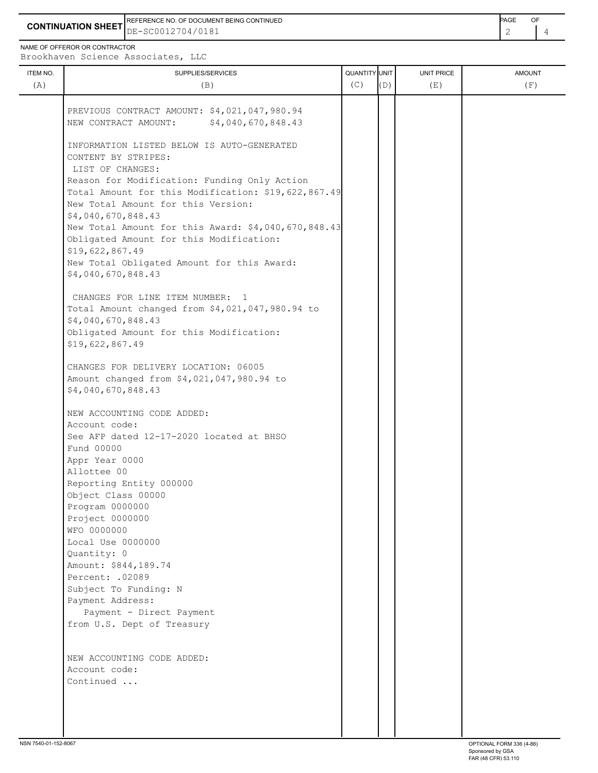**CONTINUATION SHEET** DE-SC0012704/0181 REFERENCE NO. OF DOCUMENT BEING CONTINUED **Example 2008** PAGE OF

NAME OF OFFEROR OR CONTRACTOR

Brookhaven Science Associates, LLC

| ITEM NO.<br>(A) | produndven berenee nobeerdeep,<br>SUPPLIES/SERVICES<br>(B)                                                                                                                                                                                                                                                                                                                                                                                                                                                                                                    | QUANTITY UNIT<br>(C) | (D) | UNIT PRICE<br>(E) | <b>AMOUNT</b><br>(F) |
|-----------------|---------------------------------------------------------------------------------------------------------------------------------------------------------------------------------------------------------------------------------------------------------------------------------------------------------------------------------------------------------------------------------------------------------------------------------------------------------------------------------------------------------------------------------------------------------------|----------------------|-----|-------------------|----------------------|
|                 | PREVIOUS CONTRACT AMOUNT: \$4,021,047,980.94<br>\$4,040,670,848.43<br>NEW CONTRACT AMOUNT:                                                                                                                                                                                                                                                                                                                                                                                                                                                                    |                      |     |                   |                      |
|                 | INFORMATION LISTED BELOW IS AUTO-GENERATED<br>CONTENT BY STRIPES:<br>LIST OF CHANGES:<br>Reason for Modification: Funding Only Action<br>Total Amount for this Modification: \$19,622,867.49<br>New Total Amount for this Version:<br>\$4,040,670,848.43<br>New Total Amount for this Award: \$4,040,670,848.43<br>Obligated Amount for this Modification:<br>\$19,622,867.49<br>New Total Obligated Amount for this Award:<br>\$4,040,670,848.43<br>CHANGES FOR LINE ITEM NUMBER: 1<br>Total Amount changed from \$4,021,047,980.94 to<br>\$4,040,670,848.43 |                      |     |                   |                      |
|                 | Obligated Amount for this Modification:<br>\$19,622,867.49<br>CHANGES FOR DELIVERY LOCATION: 06005                                                                                                                                                                                                                                                                                                                                                                                                                                                            |                      |     |                   |                      |
|                 | Amount changed from \$4,021,047,980.94 to<br>\$4,040,670,848.43                                                                                                                                                                                                                                                                                                                                                                                                                                                                                               |                      |     |                   |                      |
|                 | NEW ACCOUNTING CODE ADDED:<br>Account code:<br>See AFP dated 12-17-2020 located at BHSO<br>Fund 00000<br>Appr Year 0000<br>Allottee 00<br>Reporting Entity 000000<br>Object Class 00000<br>Program 0000000<br>Project 0000000<br>WFO 0000000<br>Local Use 0000000<br>Quantity: 0<br>Amount: \$844,189.74<br>Percent: .02089<br>Subject To Funding: N<br>Payment Address:<br>Payment - Direct Payment<br>from U.S. Dept of Treasury                                                                                                                            |                      |     |                   |                      |
|                 | NEW ACCOUNTING CODE ADDED:<br>Account code:<br>Continued                                                                                                                                                                                                                                                                                                                                                                                                                                                                                                      |                      |     |                   |                      |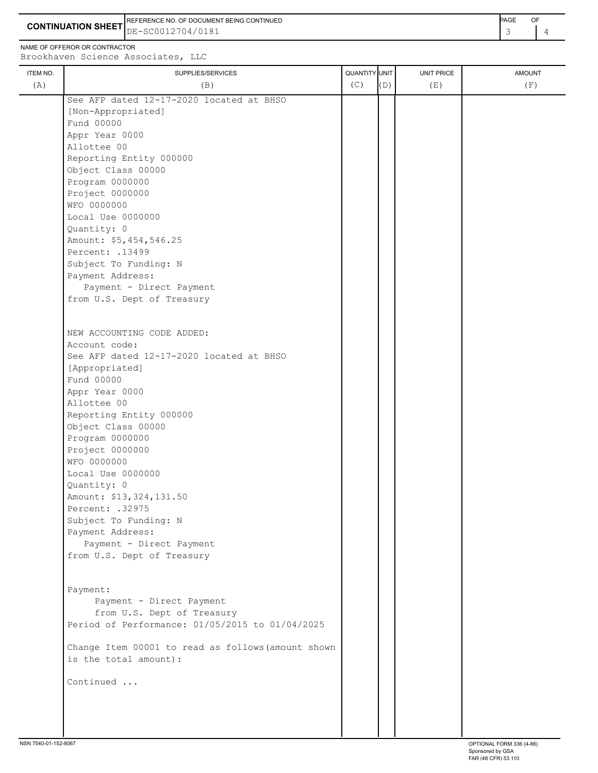**CONTINUATION SHEET** DE-SC0012704/0181 REFERENCE NO. OF DOCUMENT BEING CONTINUED **A CONTINUED PAGE OF PAGE OF PAGE OF PAGE** 

NAME OF OFFEROR OR CONTRACTOR

 Project 0000000 WFO 0000000

Quantity: 0

Account code:

 [Appropriated] Fund 00000

Local Use 0000000

 Amount: \$5,454,546.25 Percent: .13499

 Subject To Funding: N Payment Address:

 Payment - Direct Payment from U.S. Dept of Treasury

See AFP dated 12-17-2020 located at BHSO

NEW ACCOUNTING CODE ADDED:

ITEM NO. ┃ SUPPLIES/SERVICES UNIT PRICE AMOUNT Brookhaven Science Associates, LLC (A)  $(B)$  (B)  $(C)$   $(D)$  (E)  $(E)$  (F) See AFP dated 12-17-2020 located at BHSO [Non-Appropriated] Fund 00000 Appr Year 0000 Allottee 00 Reporting Entity 000000 Object Class 00000 Program 0000000

 Appr Year 0000 Allottee 00 Reporting Entity 000000 Object Class 00000 Program 0000000 Project 0000000 WFO 0000000 Local Use 0000000 Quantity: 0 Amount: \$13,324,131.50 Percent: .32975 Subject To Funding: N Payment Address: Payment - Direct Payment from U.S. Dept of Treasury Payment: Payment - Direct Payment from U.S. Dept of Treasury Period of Performance: 01/05/2015 to 01/04/2025

 Change Item 00001 to read as follows(amount shown is the total amount):

Continued ...